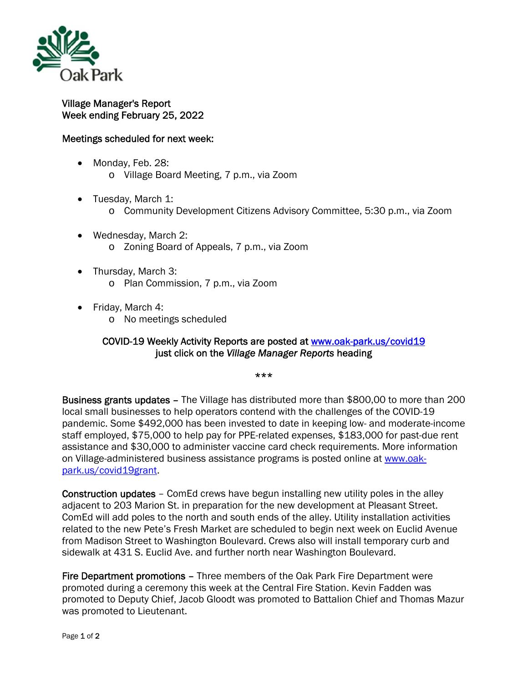

## Village Manager's Report Week ending February 25, 2022

## Meetings scheduled for next week:

- Monday, Feb. 28: o Village Board Meeting, 7 p.m., via Zoom
- Tuesday, March 1:
	- o Community Development Citizens Advisory Committee, 5:30 p.m., via Zoom
- Wednesday, March 2: o Zoning Board of Appeals, 7 p.m., via Zoom
- Thursday, March 3: o Plan Commission, 7 p.m., via Zoom
- Friday, March 4:
	- o No meetings scheduled

## COVID-19 Weekly Activity Reports are posted at www.oak-park.us/covid19 just click on the *Village Manager Reports* heading

\*\*\*

Business grants updates – The Village has distributed more than \$800,00 to more than 200 local small businesses to help operators contend with the challenges of the COVID-19 pandemic. Some \$492,000 has been invested to date in keeping low- and moderate-income staff employed, \$75,000 to help pay for PPE-related expenses, \$183,000 for past-due rent assistance and \$30,000 to administer vaccine card check requirements. More information on Village-administered business assistance programs is posted online at www.oakpark.us/covid19grant.

Construction updates – ComEd crews have begun installing new utility poles in the alley adjacent to 203 Marion St. in preparation for the new development at Pleasant Street. ComEd will add poles to the north and south ends of the alley. Utility installation activities related to the new Pete's Fresh Market are scheduled to begin next week on Euclid Avenue from Madison Street to Washington Boulevard. Crews also will install temporary curb and sidewalk at 431 S. Euclid Ave. and further north near Washington Boulevard.

Fire Department promotions – Three members of the Oak Park Fire Department were promoted during a ceremony this week at the Central Fire Station. Kevin Fadden was promoted to Deputy Chief, Jacob Gloodt was promoted to Battalion Chief and Thomas Mazur was promoted to Lieutenant.